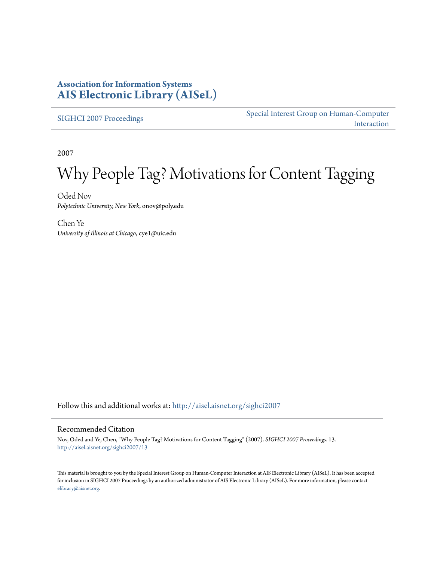# **Association for Information Systems [AIS Electronic Library \(AISeL\)](http://aisel.aisnet.org?utm_source=aisel.aisnet.org%2Fsighci2007%2F13&utm_medium=PDF&utm_campaign=PDFCoverPages)**

[SIGHCI 2007 Proceedings](http://aisel.aisnet.org/sighci2007?utm_source=aisel.aisnet.org%2Fsighci2007%2F13&utm_medium=PDF&utm_campaign=PDFCoverPages)

[Special Interest Group on Human-Computer](http://aisel.aisnet.org/sighci?utm_source=aisel.aisnet.org%2Fsighci2007%2F13&utm_medium=PDF&utm_campaign=PDFCoverPages) [Interaction](http://aisel.aisnet.org/sighci?utm_source=aisel.aisnet.org%2Fsighci2007%2F13&utm_medium=PDF&utm_campaign=PDFCoverPages)

2007

# Why People Tag? Motivations for Content Tagging

Oded Nov *Polytechnic University, New York*, onov@poly.edu

Chen Ye *University of Illinois at Chicago*, cye1@uic.edu

Follow this and additional works at: [http://aisel.aisnet.org/sighci2007](http://aisel.aisnet.org/sighci2007?utm_source=aisel.aisnet.org%2Fsighci2007%2F13&utm_medium=PDF&utm_campaign=PDFCoverPages)

#### Recommended Citation

Nov, Oded and Ye, Chen, "Why People Tag? Motivations for Content Tagging" (2007). *SIGHCI 2007 Proceedings*. 13. [http://aisel.aisnet.org/sighci2007/13](http://aisel.aisnet.org/sighci2007/13?utm_source=aisel.aisnet.org%2Fsighci2007%2F13&utm_medium=PDF&utm_campaign=PDFCoverPages)

This material is brought to you by the Special Interest Group on Human-Computer Interaction at AIS Electronic Library (AISeL). It has been accepted for inclusion in SIGHCI 2007 Proceedings by an authorized administrator of AIS Electronic Library (AISeL). For more information, please contact [elibrary@aisnet.org.](mailto:elibrary@aisnet.org%3E)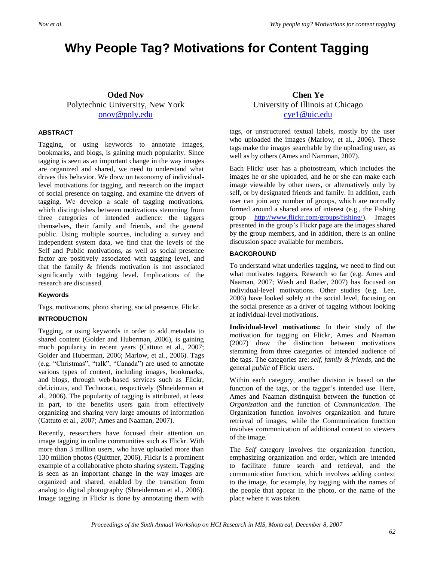# **Why People Tag? Motivations for Content Tagging**

### **Oded Nov** Polytechnic University, New York [onov@poly.edu](mailto:onov@poly.edu)

#### **ABSTRACT**

Tagging, or using keywords to annotate images, bookmarks, and blogs, is gaining much popularity. Since tagging is seen as an important change in the way images are organized and shared, we need to understand what drives this behavior. We draw on taxonomy of individuallevel motivations for tagging, and research on the impact of social presence on tagging, and examine the drivers of tagging. We develop a scale of tagging motivations, which distinguishes between motivations stemming from three categories of intended audience: the taggers themselves, their family and friends, and the general public. Using multiple sources, including a survey and independent system data, we find that the levels of the Self and Public motivations, as well as social presence factor are positively associated with tagging level, and that the family & friends motivation is not associated significantly with tagging level. Implications of the research are discussed.

#### **Keywords**

Tags, motivations, photo sharing, social presence, Flickr.

#### **INTRODUCTION**

Tagging, or using keywords in order to add metadata to shared content (Golder and Huberman, 2006), is gaining much popularity in recent years (Cattuto et al., 2007; Golder and Huberman, 2006; Marlow, et al., 2006). Tags (e.g. "Christmas", "talk", "Canada") are used to annotate various types of content, including images, bookmarks, and blogs, through web-based services such as Flickr, del.icio.us, and Technorati, respectively (Shneiderman et al., 2006). The popularity of tagging is attributed, at least in part, to the benefits users gain from effectively organizing and sharing very large amounts of information (Cattuto et al., 2007; Ames and Naaman, 2007).

Recently, researchers have focused their attention on image tagging in online communities such as Flickr. With more than 3 million users, who have uploaded more than 130 million photos (Quittner, 2006), Filckr is a prominent example of a collaborative photo sharing system. Tagging is seen as an important change in the way images are organized and shared, enabled by the transition from analog to digital photography (Shneiderman et al., 2006). Image tagging in Flickr is done by annotating them with

## **Chen Ye** University of Illinois at Chicago [cye1@uic.edu](mailto:cye1@uic.edu)

tags, or unstructured textual labels, mostly by the user who uploaded the images (Marlow, et al., 2006). These tags make the images searchable by the uploading user, as well as by others (Ames and Namman, 2007).

Each Flickr user has a photostream, which includes the images he or she uploaded, and he or she can make each image viewable by other users, or alternatively only by self, or by designated friends and family. In addition, each user can join any number of groups, which are normally formed around a shared area of interest (e.g., the Fishing group [http://www.flickr.com/groups/fishing/\)](http://www.flickr.com/groups/fishing/). Images presented in the group's Flickr page are the images shared by the group members, and in addition, there is an online discussion space available for members.

#### **BACKGROUND**

To understand what underlies tagging, we need to find out what motivates taggers. Research so far (e.g. Ames and Naaman, 2007; Wash and Rader, 2007) has focused on individual-level motivations. Other studies (e.g. Lee, 2006) have looked solely at the social level, focusing on the social presence as a driver of tagging without looking at individual-level motivations.

**Individual-level motivations:** In their study of the motivation for tagging on Flickr, Ames and Naaman (2007) draw the distinction between motivations stemming from three categories of intended audience of the tags. The categories are: *self*, *family & friends*, and the general *public* of Flickr users.

Within each category, another division is based on the function of the tags, or the tagger's intended use. Here, Ames and Naaman distinguish between the function of *Organization* and the function of *Communication*. The Organization function involves organization and future retrieval of images, while the Communication function involves communication of additional context to viewers of the image.

The *Self* category involves the organization function, emphasizing organization and order, which are intended to facilitate future search and retrieval, and the communication function, which involves adding context to the image, for example, by tagging with the names of the people that appear in the photo, or the name of the place where it was taken.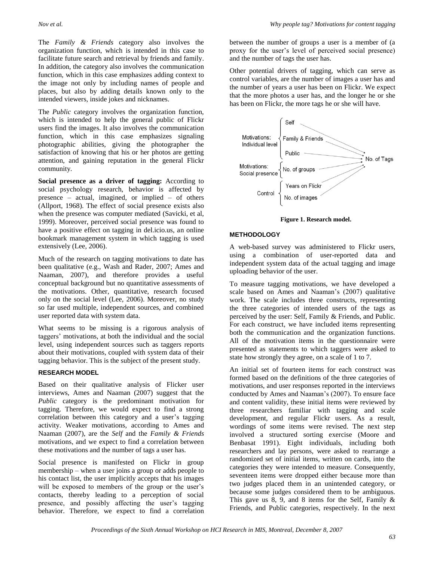The *Family & Friends* category also involves the organization function, which is intended in this case to facilitate future search and retrieval by friends and family. In addition, the category also involves the communication function, which in this case emphasizes adding context to the image not only by including names of people and places, but also by adding details known only to the intended viewers, inside jokes and nicknames.

The *Public* category involves the organization function, which is intended to help the general public of Flickr users find the images. It also involves the communication function, which in this case emphasizes signaling photographic abilities, giving the photographer the satisfaction of knowing that his or her photos are getting attention, and gaining reputation in the general Flickr community.

**Social presence as a driver of tagging:** According to social psychology research, behavior is affected by presence – actual, imagined, or implied – of others (Allport, 1968). The effect of social presence exists also when the presence was computer mediated (Savicki, et al, 1999). Moreover, perceived social presence was found to have a positive effect on tagging in del.icio.us, an online bookmark management system in which tagging is used extensively (Lee, 2006).

Much of the research on tagging motivations to date has been qualitative (e.g., Wash and Rader, 2007; Ames and Naaman, 2007), and therefore provides a useful conceptual background but no quantitative assessments of the motivations. Other, quantitative, research focused only on the social level (Lee, 2006). Moreover, no study so far used multiple, independent sources, and combined user reported data with system data.

What seems to be missing is a rigorous analysis of taggers' motivations, at both the individual and the social level, using independent sources such as taggers reports about their motivations, coupled with system data of their tagging behavior. This is the subject of the present study.

#### **RESEARCH MODEL**

Based on their qualitative analysis of Flicker user interviews, Ames and Naaman (2007) suggest that the *Public* category is the predominant motivation for tagging. Therefore, we would expect to find a strong correlation between this category and a user's tagging activity. Weaker motivations, according to Ames and Naaman (2007), are the *Self* and the *Family & Friends* motivations, and we expect to find a correlation between these motivations and the number of tags a user has.

Social presence is manifested on Flickr in group membership – when a user joins a group or adds people to his contact list, the user implicitly accepts that his images will be exposed to members of the group or the user's contacts, thereby leading to a perception of social presence, and possibly affecting the user's tagging behavior. Therefore, we expect to find a correlation between the number of groups a user is a member of (a proxy for the user's level of perceived social presence) and the number of tags the user has.

Other potential drivers of tagging, which can serve as control variables, are the number of images a user has and the number of years a user has been on Flickr. We expect that the more photos a user has, and the longer he or she has been on Flickr, the more tags he or she will have.



**Figure 1. Research model.**

#### **METHODOLOGY**

A web-based survey was administered to Flickr users, using a combination of user-reported data and independent system data of the actual tagging and image uploading behavior of the user.

To measure tagging motivations, we have developed a scale based on Ames and Naaman's (2007) qualitative work. The scale includes three constructs, representing the three categories of intended users of the tags as perceived by the user: Self, Family & Friends, and Public. For each construct, we have included items representing both the communication and the organization functions. All of the motivation items in the questionnaire were presented as statements to which taggers were asked to state how strongly they agree, on a scale of 1 to 7.

An initial set of fourteen items for each construct was formed based on the definitions of the three categories of motivations, and user responses reported in the interviews conducted by Ames and Naaman's (2007). To ensure face and content validity, these initial items were reviewed by three researchers familiar with tagging and scale development, and regular Flickr users. As a result, wordings of some items were revised. The next step involved a structured sorting exercise (Moore and Benbasat 1991). Eight individuals, including both researchers and lay persons, were asked to rearrange a randomized set of initial items, written on cards, into the categories they were intended to measure. Consequently, seventeen items were dropped either because more than two judges placed them in an unintended category, or because some judges considered them to be ambiguous. This gave us  $8, 9$ , and  $8$  items for the Self, Family  $\&$ Friends, and Public categories, respectively. In the next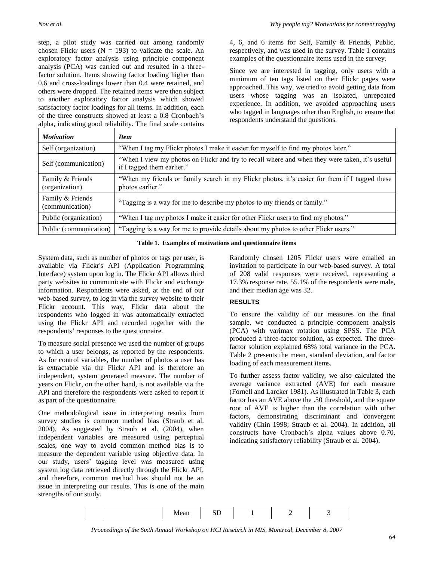step, a pilot study was carried out among randomly chosen Flickr users  $(N = 193)$  to validate the scale. An exploratory factor analysis using principle component analysis (PCA) was carried out and resulted in a threefactor solution. Items showing factor loading higher than 0.6 and cross-loadings lower than 0.4 were retained, and others were dropped. The retained items were then subject to another exploratory factor analysis which showed satisfactory factor loadings for all items. In addition, each of the three constructs showed at least a 0.8 Cronbach's alpha, indicating good reliability. The final scale contains 4, 6, and 6 items for Self, Family & Friends, Public, respectively, and was used in the survey. Table 1 contains examples of the questionnaire items used in the survey.

Since we are interested in tagging, only users with a minimum of ten tags listed on their Flickr pages were approached. This way, we tried to avoid getting data from users whose tagging was an isolated, unrepeated experience. In addition, we avoided approaching users who tagged in languages other than English, to ensure that respondents understand the questions.

| <i>Motivation</i>                   | <i>Item</i>                                                                                                                  |
|-------------------------------------|------------------------------------------------------------------------------------------------------------------------------|
| Self (organization)                 | "When I tag my Flickr photos I make it easier for myself to find my photos later."                                           |
| Self (communication)                | "When I view my photos on Flickr and try to recall where and when they were taken, it's useful<br>if I tagged them earlier." |
| Family & Friends<br>(organization)  | "When my friends or family search in my Flickr photos, it's easier for them if I tagged these<br>photos earlier."            |
| Family & Friends<br>(communication) | "Tagging is a way for me to describe my photos to my friends or family."                                                     |
| Public (organization)               | "When I tag my photos I make it easier for other Flickr users to find my photos."                                            |
| Public (communication)              | "Tagging is a way for me to provide details about my photos to other Flickr users."                                          |

#### **Table 1. Examples of motivations and questionnaire items**

System data, such as number of photos or tags per user, is available via Flickr's API (Application Programming Interface) system upon log in. The Flickr API allows third party websites to communicate with Flickr and exchange information. Respondents were asked, at the end of our web-based survey, to log in via the survey website to their Flickr account. This way, Flickr data about the respondents who logged in was automatically extracted using the Flickr API and recorded together with the respondents' responses to the questionnaire.

To measure social presence we used the number of groups to which a user belongs, as reported by the respondents. As for control variables, the number of photos a user has is extractable via the Flickr API and is therefore an independent, system generated measure. The number of years on Flickr, on the other hand, is not available via the API and therefore the respondents were asked to report it as part of the questionnaire.

One methodological issue in interpreting results from survey studies is common method bias (Straub et al. 2004). As suggested by Straub et al. (2004), when independent variables are measured using perceptual scales, one way to avoid common method bias is to measure the dependent variable using objective data. In our study, users' tagging level was measured using system log data retrieved directly through the Flickr API, and therefore, common method bias should not be an issue in interpreting our results. This is one of the main strengths of our study.

Randomly chosen 1205 Flickr users were emailed an invitation to participate in our web-based survey. A total of 208 valid responses were received, representing a 17.3% response rate. 55.1% of the respondents were male, and their median age was 32.

#### **RESULTS**

To ensure the validity of our measures on the final sample, we conducted a principle component analysis (PCA) with varimax rotation using SPSS. The PCA produced a three-factor solution, as expected. The threefactor solution explained 68% total variance in the PCA. Table 2 presents the mean, standard deviation, and factor loading of each measurement items.

To further assess factor validity, we also calculated the average variance extracted (AVE) for each measure (Fornell and Larcker 1981). As illustrated in Table 3, each factor has an AVE above the .50 threshold, and the square root of AVE is higher than the correlation with other factors, demonstrating discriminant and convergent validity (Chin 1998; Straub et al. 2004). In addition, all constructs have Cronbach's alpha values above 0.70, indicating satisfactory reliability (Straub et al. 2004).

|--|--|--|--|--|--|

*Proceedings of the Sixth Annual Workshop on HCI Research in MIS, Montreal, December 8, 2007*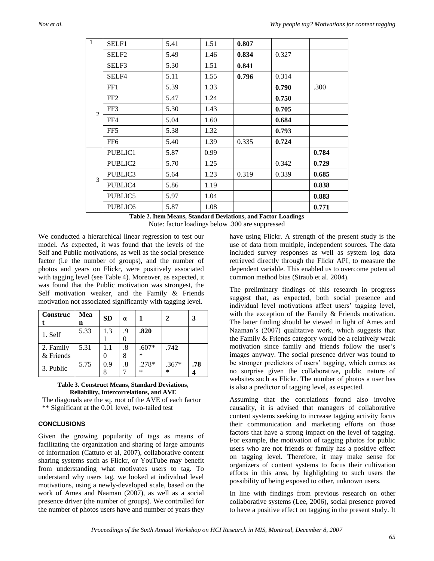| $\overline{1}$ | SELF1               | 5.41 | 1.51 | 0.807 |       |       |
|----------------|---------------------|------|------|-------|-------|-------|
|                | SELF <sub>2</sub>   | 5.49 | 1.46 | 0.834 | 0.327 |       |
|                | SELF3               | 5.30 | 1.51 | 0.841 |       |       |
|                | SELF4               | 5.11 | 1.55 | 0.796 | 0.314 |       |
|                | FF1                 | 5.39 | 1.33 |       | 0.790 | .300  |
|                | FF <sub>2</sub>     | 5.47 | 1.24 |       | 0.750 |       |
| 2              | FF3                 | 5.30 | 1.43 |       | 0.705 |       |
|                | FF4                 | 5.04 | 1.60 |       | 0.684 |       |
|                | FF5                 | 5.38 | 1.32 |       | 0.793 |       |
|                | FF <sub>6</sub>     | 5.40 | 1.39 | 0.335 | 0.724 |       |
|                | PUBLIC1             | 5.87 | 0.99 |       |       | 0.784 |
|                | PUBLIC2             | 5.70 | 1.25 |       | 0.342 | 0.729 |
| $\mathcal{F}$  | PUBLIC3             | 5.64 | 1.23 | 0.319 | 0.339 | 0.685 |
|                | PUBLIC4             | 5.86 | 1.19 |       |       | 0.838 |
|                | PUBLIC5             | 5.97 | 1.04 |       |       | 0.883 |
|                | PUBLIC <sub>6</sub> | 5.87 | 1.08 |       |       | 0.771 |

**Table 2. Item Means, Standard Deviations, and Factor Loadings** Note: factor loadings below .300 are suppressed

We conducted a hierarchical linear regression to test our model. As expected, it was found that the levels of the Self and Public motivations, as well as the social presence factor (i.e the number of groups), and the number of photos and years on Flickr, were positively associated with tagging level (see Table 4). Moreover, as expected, it was found that the Public motivation was strongest, the Self motivation weaker, and the Family & Friends motivation not associated significantly with tagging level.

| Construc               | Mea<br>n | <b>SD</b> | $\alpha$ |                   |                   | 3   |
|------------------------|----------|-----------|----------|-------------------|-------------------|-----|
| 1. Self                | 5.33     | 1.3       | .9       | .820              |                   |     |
| 2. Family<br>& Friends | 5.31     | 1.1       | .8<br>8  | $.607*$<br>$\ast$ | .742              |     |
| 3. Public              | 5.75     | 0.9       | .8       | $.278*$<br>$\ast$ | $.367*$<br>$\ast$ | .78 |

#### **Table 3. Construct Means, Standard Deviations, Reliability, Intercorrelations, and AVE**

The diagonals are the sq. root of the AVE of each factor \*\* Significant at the 0.01 level, two-tailed test

#### **CONCLUSIONS**

Given the growing popularity of tags as means of facilitating the organization and sharing of large amounts of information (Cattuto et al, 2007), collaborative content sharing systems such as Flickr, or YouTube may benefit from understanding what motivates users to tag. To understand why users tag, we looked at individual level motivations, using a newly-developed scale, based on the work of Ames and Naaman (2007), as well as a social presence driver (the number of groups). We controlled for the number of photos users have and number of years they have using Flickr. A strength of the present study is the use of data from multiple, independent sources. The data included survey responses as well as system log data retrieved directly through the Flickr API, to measure the dependent variable. This enabled us to overcome potential common method bias (Straub et al. 2004).

The preliminary findings of this research in progress suggest that, as expected, both social presence and individual level motivations affect users' tagging level, with the exception of the Family & Friends motivation. The latter finding should be viewed in light of Ames and Naaman's (2007) qualitative work, which suggests that the Family & Friends category would be a relatively weak motivation since family and friends follow the user's images anyway. The social presence driver was found to be stronger predictors of users' tagging, which comes as no surprise given the collaborative, public nature of websites such as Flickr. The number of photos a user has is also a predictor of tagging level, as expected.

Assuming that the correlations found also involve causality, it is advised that managers of collaborative content systems seeking to increase tagging activity focus their communication and marketing efforts on those factors that have a strong impact on the level of tagging. For example, the motivation of tagging photos for public users who are not friends or family has a positive effect on tagging level. Therefore, it may make sense for organizers of content systems to focus their cultivation efforts in this area, by highlighting to such users the possibility of being exposed to other, unknown users.

In line with findings from previous research on other collaborative systems (Lee, 2006), social presence proved to have a positive effect on tagging in the present study. It